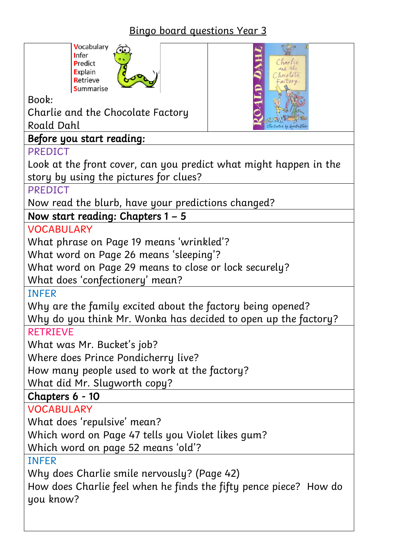# Bingo board questions Year 3

Charlie





Book:

Charlie and the Chocolate Factory Roald Dahl

### Before you start reading:

#### PREDICT

Look at the front cover, can you predict what might happen in the story by using the pictures for clues?

**PREDICT** 

Now read the blurb, have your predictions changed?

Now start reading: Chapters 1 – 5

**VOCABULARY** 

What phrase on Page 19 means 'wrinkled'?

What word on Page 26 means 'sleeping'?

What word on Page 29 means to close or lock securely?

What does 'confectionery' mean?

INFER

Why are the family excited about the factory being opened? Why do you think Mr. Wonka has decided to open up the factory?

### RETRIEVE

What was Mr. Bucket's job?

Where does Prince Pondicherry live?

How many people used to work at the factory?

What did Mr. Slugworth copy?

Chapters 6 - 10

VOCABULARY

What does 'repulsive' mean?

Which word on Page 47 tells you Violet likes gum?

Which word on page 52 means 'old'?

INFER

Why does Charlie smile nervously? (Page 42)

How does Charlie feel when he finds the fifty pence piece? How do you know?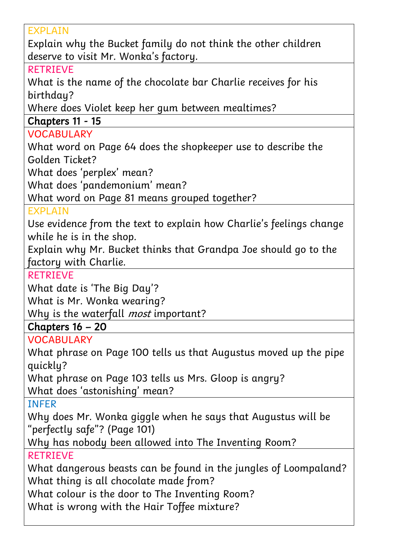| <b>EXPLAIN</b>                                                      |
|---------------------------------------------------------------------|
| Explain why the Bucket family do not think the other children       |
| deserve to visit Mr. Wonka's factory.                               |
| <b>RETRIEVE</b>                                                     |
| What is the name of the chocolate bar Charlie receives for his      |
| birthday?                                                           |
| Where does Violet keep her gum between mealtimes?                   |
| Chapters 11 - 15                                                    |
| <b>VOCABULARY</b>                                                   |
| What word on Page 64 does the shopkeeper use to describe the        |
| Golden Ticket?                                                      |
| What does 'perplex' mean?                                           |
| What does 'pandemonium' mean?                                       |
| What word on Page 81 means grouped together?                        |
| <b>EXPLAIN</b>                                                      |
| Use evidence from the text to explain how Charlie's feelings change |
| while he is in the shop.                                            |
| Explain why Mr. Bucket thinks that Grandpa Joe should go to the     |
| factory with Charlie.                                               |
| <b>RETRIEVE</b>                                                     |
| What date is 'The Big Day'?                                         |
| What is Mr. Wonka wearing?                                          |
| Why is the waterfall <i>most</i> important?                         |
| Chapters $16 - 20$                                                  |
| <b>VOCABULARY</b>                                                   |
| What phrase on Page 100 tells us that Augustus moved up the pipe    |
| quickly?                                                            |
| What phrase on Page 103 tells us Mrs. Gloop is angry?               |
| What does 'astonishing' mean?                                       |
| <b>INFER</b>                                                        |
| Why does Mr. Wonka giggle when he says that Augustus will be        |
| "perfectly safe"? (Page 101)                                        |
| Why has nobody been allowed into The Inventing Room?                |
| <b>RETRIEVE</b>                                                     |
| What dangerous beasts can be found in the jungles of Loompaland?    |
| What thing is all chocolate made from?                              |
| What colour is the door to The Inventing Room?                      |
| What is wrong with the Hair Toffee mixture?                         |
|                                                                     |